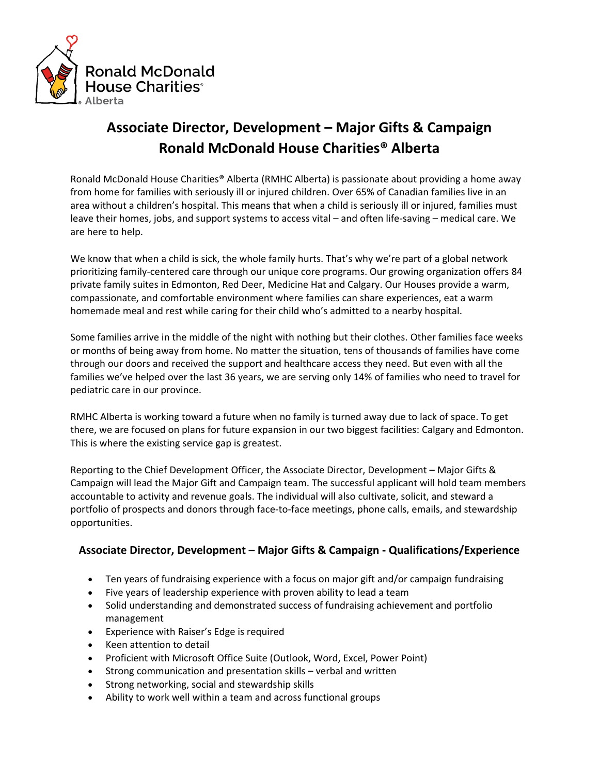

## **Associate Director, Development – Major Gifts & Campaign Ronald McDonald House Charities® Alberta**

Ronald McDonald House Charities® Alberta (RMHC Alberta) is passionate about providing a home away from home for families with seriously ill or injured children. Over 65% of Canadian families live in an area without a children's hospital. This means that when a child is seriously ill or injured, families must leave their homes, jobs, and support systems to access vital – and often life-saving – medical care. We are here to help.

We know that when a child is sick, the whole family hurts. That's why we're part of a global network prioritizing family-centered care through our unique core programs. Our growing organization offers 84 private family suites in Edmonton, Red Deer, Medicine Hat and Calgary. Our Houses provide a warm, compassionate, and comfortable environment where families can share experiences, eat a warm homemade meal and rest while caring for their child who's admitted to a nearby hospital.

Some families arrive in the middle of the night with nothing but their clothes. Other families face weeks or months of being away from home. No matter the situation, tens of thousands of families have come through our doors and received the support and healthcare access they need. But even with all the families we've helped over the last 36 years, we are serving only 14% of families who need to travel for pediatric care in our province.

RMHC Alberta is working toward a future when no family is turned away due to lack of space. To get there, we are focused on plans for future expansion in our two biggest facilities: Calgary and Edmonton. This is where the existing service gap is greatest.

Reporting to the Chief Development Officer, the Associate Director, Development – Major Gifts & Campaign will lead the Major Gift and Campaign team. The successful applicant will hold team members accountable to activity and revenue goals. The individual will also cultivate, solicit, and steward a portfolio of prospects and donors through face-to-face meetings, phone calls, emails, and stewardship opportunities.

## **Associate Director, Development – Major Gifts & Campaign - Qualifications/Experience**

- Ten years of fundraising experience with a focus on major gift and/or campaign fundraising
- Five years of leadership experience with proven ability to lead a team
- Solid understanding and demonstrated success of fundraising achievement and portfolio management
- Experience with Raiser's Edge is required
- Keen attention to detail
- Proficient with Microsoft Office Suite (Outlook, Word, Excel, Power Point)
- Strong communication and presentation skills verbal and written
- Strong networking, social and stewardship skills
- Ability to work well within a team and across functional groups